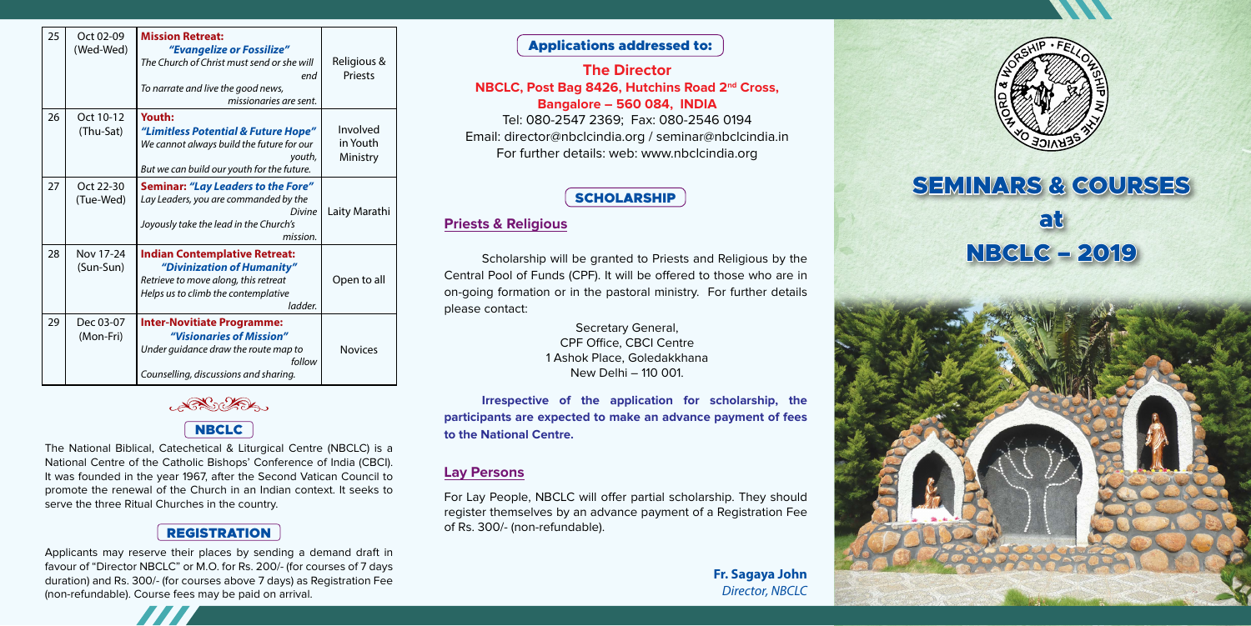Applicants may reserve their places by sending a demand draft in favour of "Director NBCLC" or M.O. for Rs. 200/- (for courses of 7 days duration) and Rs. 300/- (for courses above 7 days) as Registration Fee (non-refundable). Course fees may be paid on arrival.



The National Biblical, Catechetical & Liturgical Centre (NBCLC) is a National Centre of the Catholic Bishops' Conference of India (CBCI). It was founded in the year 1967, after the Second Vatican Council to promote the renewal of the Church in an Indian context. It seeks to serve the three Ritual Churches in the country.

## REGISTRATION

# SEMINARS & COURSES

at



NBCLC – 2019

#### **Lay Persons**

For Lay People, NBCLC will offer partial scholarship. They should register themselves by an advance payment of a Registration Fee of Rs. 300/- (non-refundable).

## Applications addressed to:

### **The Director NBCLC, Post Bag 8426, Hutchins Road 2nd Cross, Bangalore – 560 084, INDIA**

Tel: 080-2547 2369; Fax: 080-2546 0194 Email: director@nbclcindia.org / seminar@nbclcindia.in For further details: web: www.nbclcindia.org

#### **SCHOLARSHIP**

#### **Priests & Religious**

Scholarship will be granted to Priests and Religious by the Central Pool of Funds (CPF). It will be offered to those who are in on-going formation or in the pastoral ministry. For further details please contact:

**Irrespective of the application for scholarship, the participants are expected to make an advance payment of fees to the National Centre.**

Secretary General, CPF Office, CBCI Centre 1 Ashok Place, Goledakkhana New Delhi – 110 001.

> **Fr. Sagaya John** *Director, NBCLC*



| 25 | Oct 02-09<br>(Wed-Wed) | <b>Mission Retreat:</b><br>"Evangelize or Fossilize"<br>The Church of Christ must send or she will<br>end<br>To narrate and live the good news,<br>missionaries are sent. | Religious &<br><b>Priests</b>    |
|----|------------------------|---------------------------------------------------------------------------------------------------------------------------------------------------------------------------|----------------------------------|
| 26 | Oct 10-12<br>(Thu-Sat) | Youth:<br>"Limitless Potential & Future Hope"<br>We cannot always build the future for our<br>youth,<br>But we can build our youth for the future.                        | Involved<br>in Youth<br>Ministry |
| 27 | Oct 22-30<br>(Tue-Wed) | <b>Seminar: "Lay Leaders to the Fore"</b><br>Lay Leaders, you are commanded by the<br><b>Divine</b><br>Joyously take the lead in the Church's<br>mission.                 | Laity Marathi                    |
| 28 | Nov 17-24<br>(Sun-Sun) | <b>Indian Contemplative Retreat:</b><br>"Divinization of Humanity"<br>Retrieve to move along, this retreat<br>Helps us to climb the contemplative<br>ladder.              | Open to all                      |
| 29 | Dec 03-07<br>(Mon-Fri) | <b>Inter-Novitiate Programme:</b><br>"Visionaries of Mission"<br>Under guidance draw the route map to<br>follow<br>Counselling, discussions and sharing.                  | <b>Novices</b>                   |